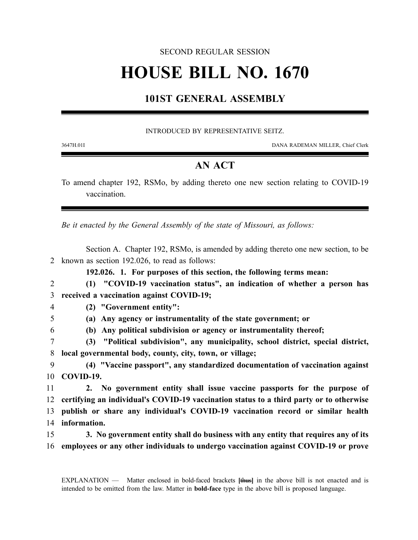### SECOND REGULAR SESSION

# **HOUSE BILL NO. 1670**

## **101ST GENERAL ASSEMBLY**

#### INTRODUCED BY REPRESENTATIVE SEITZ.

3647H.01I DANA RADEMAN MILLER, Chief Clerk

## **AN ACT**

To amend chapter 192, RSMo, by adding thereto one new section relating to COVID-19 vaccination.

*Be it enacted by the General Assembly of the state of Missouri, as follows:*

Section A. Chapter 192, RSMo, is amended by adding thereto one new section, to be known as section 192.026, to read as follows: **192.026. 1. For purposes of this section, the following terms mean: (1) "COVID-19 vaccination status", an indication of whether a person has received a vaccination against COVID-19; (2) "Government entity": (a) Any agency or instrumentality of the state government; or (b) Any political subdivision or agency or instrumentality thereof; (3) "Political subdivision", any municipality, school district, special district, local governmental body, county, city, town, or village; (4) "Vaccine passport", any standardized documentation of vaccination against COVID-19. 2. No government entity shall issue vaccine passports for the purpose of certifying an individual's COVID-19 vaccination status to a third party or to otherwise**

- 13 **publish or share any individual's COVID-19 vaccination record or similar health** 14 **information.**
- 15 **3. No government entity shall do business with any entity that requires any of its** 16 **employees or any other individuals to undergo vaccination against COVID-19 or prove**